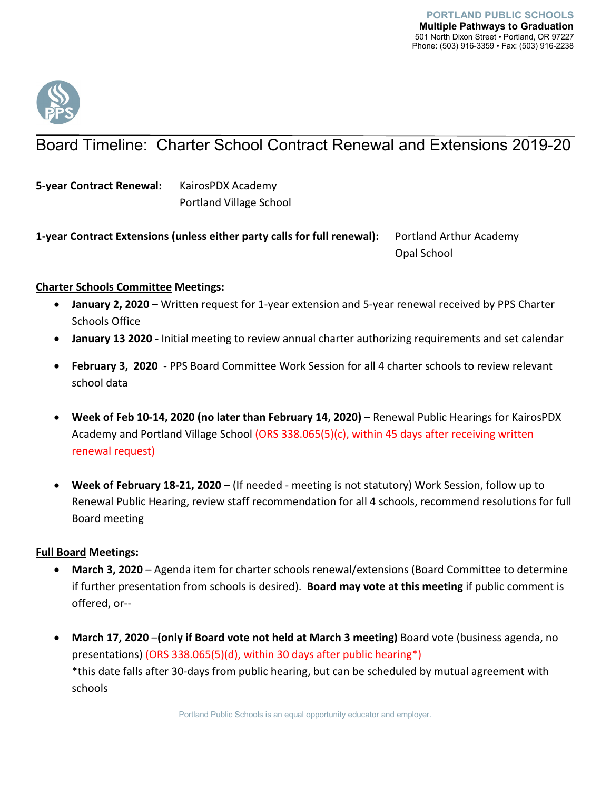

## Board Timeline: Charter School Contract Renewal and Extensions 2019-20

**5-year Contract Renewal:** KairosPDX Academy Portland Village School

**1-year Contract Extensions (unless either party calls for full renewal):** Portland Arthur Academy Opal School

#### **Charter Schools Committee Meetings:**

- **January 2, 2020**  Written request for 1-year extension and 5-year renewal received by PPS Charter Schools Office
- **January 13 2020 -** Initial meeting to review annual charter authorizing requirements and set calendar
- **February 3, 2020** PPS Board Committee Work Session for all 4 charter schools to review relevant school data
- **Week of Feb 10-14, 2020 (no later than February 14, 2020)** Renewal Public Hearings for KairosPDX Academy and Portland Village School (ORS 338.065(5)(c), within 45 days after receiving written renewal request)
- **Week of February 18-21, 2020** (If needed meeting is not statutory) Work Session, follow up to Renewal Public Hearing, review staff recommendation for all 4 schools, recommend resolutions for full Board meeting

#### **Full Board Meetings:**

- **March 3, 2020** Agenda item for charter schools renewal/extensions (Board Committee to determine if further presentation from schools is desired). **Board may vote at this meeting** if public comment is offered, or--
- **March 17, 2020** –**(only if Board vote not held at March 3 meeting)** Board vote (business agenda, no presentations) (ORS 338.065(5)(d), within 30 days after public hearing\*) \*this date falls after 30-days from public hearing, but can be scheduled by mutual agreement with schools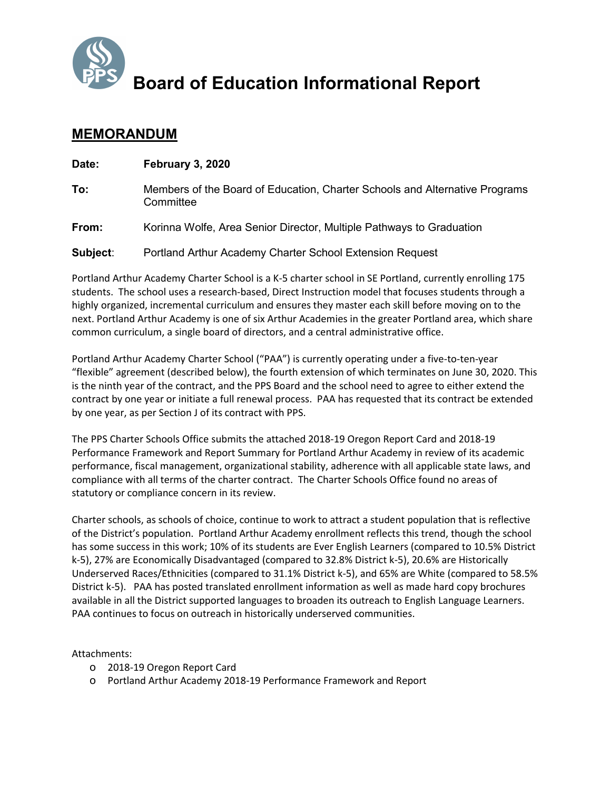

# **Board of Education Informational Report**

## **MEMORANDUM**

| Date:    | February 3, 2020                                                                         |
|----------|------------------------------------------------------------------------------------------|
| To:      | Members of the Board of Education, Charter Schools and Alternative Programs<br>Committee |
| From:    | Korinna Wolfe, Area Senior Director, Multiple Pathways to Graduation                     |
| Subject: | Portland Arthur Academy Charter School Extension Request                                 |

Portland Arthur Academy Charter School is a K-5 charter school in SE Portland, currently enrolling 175 students. The school uses a research-based, Direct Instruction model that focuses students through a highly organized, incremental curriculum and ensures they master each skill before moving on to the next. Portland Arthur Academy is one of six Arthur Academies in the greater Portland area, which share common curriculum, a single board of directors, and a central administrative office.

Portland Arthur Academy Charter School ("PAA") is currently operating under a five-to-ten-year "flexible" agreement (described below), the fourth extension of which terminates on June 30, 2020. This is the ninth year of the contract, and the PPS Board and the school need to agree to either extend the contract by one year or initiate a full renewal process. PAA has requested that its contract be extended by one year, as per Section J of its contract with PPS.

The PPS Charter Schools Office submits the attached 2018-19 Oregon Report Card and 2018-19 Performance Framework and Report Summary for Portland Arthur Academy in review of its academic performance, fiscal management, organizational stability, adherence with all applicable state laws, and compliance with all terms of the charter contract. The Charter Schools Office found no areas of statutory or compliance concern in its review.

Charter schools, as schools of choice, continue to work to attract a student population that is reflective of the District's population. Portland Arthur Academy enrollment reflects this trend, though the school has some success in this work; 10% of its students are Ever English Learners (compared to 10.5% District k-5), 27% are Economically Disadvantaged (compared to 32.8% District k-5), 20.6% are Historically Underserved Races/Ethnicities (compared to 31.1% District k-5), and 65% are White (compared to 58.5% District k-5). PAA has posted translated enrollment information as well as made hard copy brochures available in all the District supported languages to broaden its outreach to English Language Learners. PAA continues to focus on outreach in historically underserved communities.

Attachments:

- o 2018-19 Oregon Report Card
- o Portland Arthur Academy 2018-19 Performance Framework and Report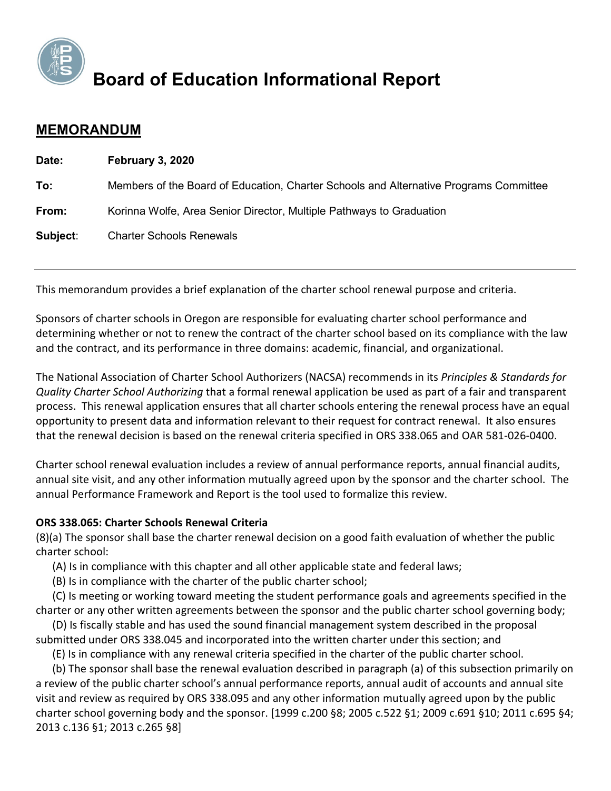

# **Board of Education Informational Report**

## **MEMORANDUM**

| Date:    | <b>February 3, 2020</b>                                                               |
|----------|---------------------------------------------------------------------------------------|
| To:      | Members of the Board of Education, Charter Schools and Alternative Programs Committee |
| From:    | Korinna Wolfe, Area Senior Director, Multiple Pathways to Graduation                  |
| Subject: | <b>Charter Schools Renewals</b>                                                       |

This memorandum provides a brief explanation of the charter school renewal purpose and criteria.

Sponsors of charter schools in Oregon are responsible for evaluating charter school performance and determining whether or not to renew the contract of the charter school based on its compliance with the law and the contract, and its performance in three domains: academic, financial, and organizational.

The National Association of Charter School Authorizers (NACSA) recommends in its *Principles & Standards for Quality Charter School Authorizing* that a formal renewal application be used as part of a fair and transparent process. This renewal application ensures that all charter schools entering the renewal process have an equal opportunity to present data and information relevant to their request for contract renewal. It also ensures that the renewal decision is based on the renewal criteria specified in ORS 338.065 and OAR 581-026-0400.

Charter school renewal evaluation includes a review of annual performance reports, annual financial audits, annual site visit, and any other information mutually agreed upon by the sponsor and the charter school. The annual Performance Framework and Report is the tool used to formalize this review.

### **ORS 338.065: Charter Schools Renewal Criteria**

(8)(a) The sponsor shall base the charter renewal decision on a good faith evaluation of whether the public charter school:

(A) Is in compliance with this chapter and all other applicable state and federal laws;

(B) Is in compliance with the charter of the public charter school;

 (C) Is meeting or working toward meeting the student performance goals and agreements specified in the charter or any other written agreements between the sponsor and the public charter school governing body;

 (D) Is fiscally stable and has used the sound financial management system described in the proposal submitted under ORS 338.045 and incorporated into the written charter under this section; and

(E) Is in compliance with any renewal criteria specified in the charter of the public charter school.

 (b) The sponsor shall base the renewal evaluation described in paragraph (a) of this subsection primarily on a review of the public charter school's annual performance reports, annual audit of accounts and annual site visit and review as required by ORS 338.095 and any other information mutually agreed upon by the public charter school governing body and the sponsor. [1999 c.200 §8; 2005 c.522 §1; 2009 c.691 §10; 2011 c.695 §4; 2013 c.136 §1; 2013 c.265 §8]